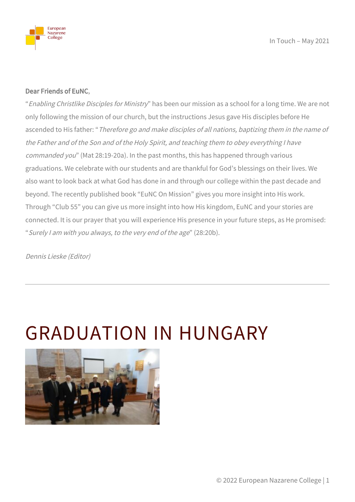

#### Dear Friends of EuNC,

"Enabling Christlike Disciples for Ministry" has been our mission as a school for a long time. We are not only following the mission of our church, but the instructions Jesus gave His disciples before He ascended to His father: "Therefore go and make disciples of all nations, baptizing them in the name of the Father and of the Son and of the Holy Spirit, and teaching them to obey everything I have commanded you" (Mat 28:19-20a). In the past months, this has happened through various graduations. We celebrate with our students and are thankful for God's blessings on their lives. We also want to look back at what God has done in and through our college within the past decade and beyond. The recently published book "EuNC On Mission" gives you more insight into His work. Through "Club 55" you can give us more insight into how His kingdom, EuNC and your stories are connected. It is our prayer that you will experience His presence in your future steps, as He promised: "Surely I am with you always, to the very end of the age" (28:20b).

Dennis Lieske (Editor)

#### GRADUATION IN HUNGARY

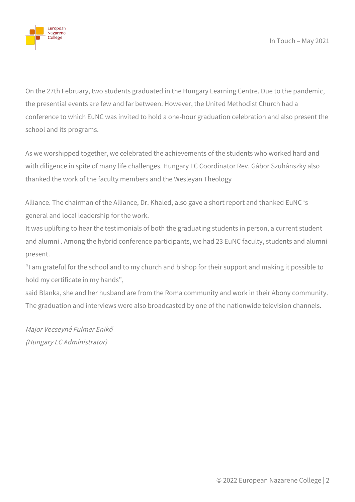

On the 27th February, two students graduated in the Hungary Learning Centre. Due to the pandemic, the presential events are few and far between. However, the United Methodist Church had a conference to which EuNC was invited to hold a one-hour graduation celebration and also present the school and its programs.

As we worshipped together, we celebrated the achievements of the students who worked hard and with diligence in spite of many life challenges. Hungary LC Coordinator Rev. Gábor Szuhánszky also thanked the work of the faculty members and the Wesleyan Theology

Alliance. The chairman of the Alliance, Dr. Khaled, also gave a short report and thanked EuNC 's general and local leadership for the work.

It was uplifting to hear the testimonials of both the graduating students in person, a current student and alumni . Among the hybrid conference participants, we had 23 EuNC faculty, students and alumni present.

"I am grateful for the school and to my church and bishop for their support and making it possible to hold my certificate in my hands",

said Blanka, she and her husband are from the Roma community and work in their Abony community. The graduation and interviews were also broadcasted by one of the nationwide television channels.

Major Vecseyné Fulmer Enikő (Hungary LC Administrator)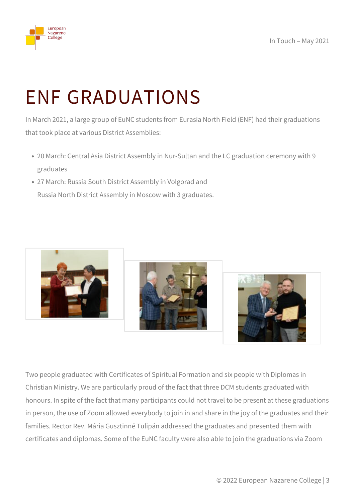

## ENF GRADUATIONS

In March 2021, a large group of EuNC students from Eurasia North Field (ENF) had their graduations that took place at various District Assemblies:

- 20 March: Central Asia District Assembly in Nur-Sultan and the LC graduation ceremony with 9 graduates
- 27 March: Russia South District Assembly in Volgorad and Russia North District Assembly in Moscow with 3 graduates.



Two people graduated with Certificates of Spiritual Formation and six people with Diplomas in Christian Ministry. We are particularly proud of the fact that three DCM students graduated with honours. In spite of the fact that many participants could not travel to be present at these graduations in person, the use of Zoom allowed everybody to join in and share in the joy of the graduates and their families. Rector Rev. Mária Gusztinné Tulipán addressed the graduates and presented them with certificates and diplomas. Some of the EuNC faculty were also able to join the graduations via Zoom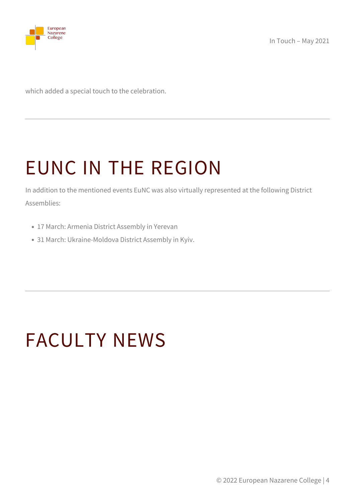

which added a special touch to the celebration.

## EUNC IN THE REGION

In addition to the mentioned events EuNC was also virtually represented at the following District Assemblies:

- 17 March: Armenia District Assembly in Yerevan
- 31 March: Ukraine-Moldova District Assembly in Kyiv.

#### FACULTY NEWS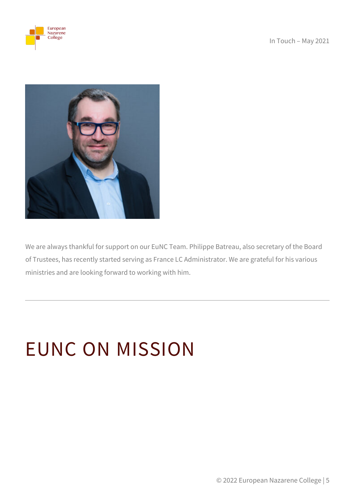European Nazarene<br>College



We are always thankful for support on our EuNC Team. Philippe Batreau, also secretary of the Board of Trustees, has recently started serving as France LC Administrator. We are grateful for his various ministries and are looking forward to working with him.

# EUNC ON MISSION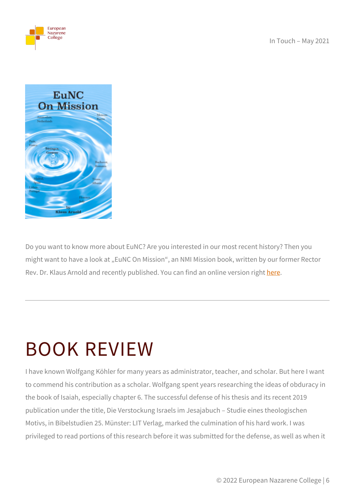



Do you want to know more about EuNC? Are you interested in our most recent history? Then you might want to have a look at "EuNC On Mission", an NMI Mission book, written by our former Rector Rev. Dr. Klaus Arnold and recently published. You can find an online version right [here](https://nazarene.org/sites/default/files/2021-02/EuNC%20On%20Mission-Working%20Copy-FINAL.pdf).

#### BOOK REVIEW

I have known Wolfgang Köhler for many years as administrator, teacher, and scholar. But here I want to commend his contribution as a scholar. Wolfgang spent years researching the ideas of obduracy in the book of Isaiah, especially chapter 6. The successful defense of his thesis and its recent 2019 publication under the title, Die Verstockung Israels im Jesajabuch – Studie eines theologischen Motivs, in Bibelstudien 25. Münster: LIT Verlag, marked the culmination of his hard work. I was privileged to read portions of this research before it was submitted for the defense, as well as when it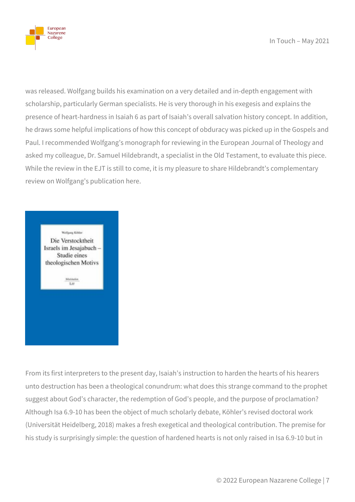

was released. Wolfgang builds his examination on a very detailed and in-depth engagement with scholarship, particularly German specialists. He is very thorough in his exegesis and explains the presence of heart-hardness in Isaiah 6 as part of Isaiah's overall salvation history concept. In addition, he draws some helpful implications of how this concept of obduracy was picked up in the Gospels and Paul. I recommended Wolfgang's monograph for reviewing in the European Journal of Theology and asked my colleague, Dr. Samuel Hildebrandt, a specialist in the Old Testament, to evaluate this piece. While the review in the EJT is still to come, it is my pleasure to share Hildebrandt's complementary review on Wolfgang's publication here.



From its first interpreters to the present day, Isaiah's instruction to harden the hearts of his hearers unto destruction has been a theological conundrum: what does this strange command to the prophet suggest about God's character, the redemption of God's people, and the purpose of proclamation? Although Isa 6.9-10 has been the object of much scholarly debate, Köhler's revised doctoral work (Universität Heidelberg, 2018) makes a fresh exegetical and theological contribution. The premise for his study is surprisingly simple: the question of hardened hearts is not only raised in Isa 6.9-10 but in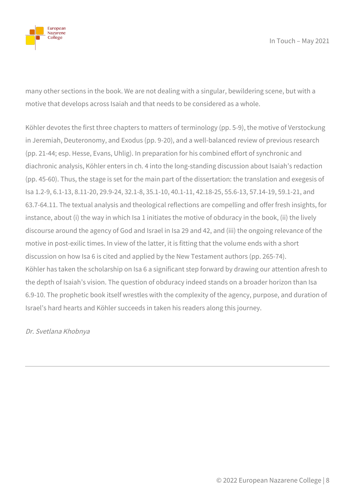

many other sections in the book. We are not dealing with a singular, bewildering scene, but with a motive that develops across Isaiah and that needs to be considered as a whole.

Köhler devotes the first three chapters to matters of terminology (pp. 5-9), the motive of Verstockung in Jeremiah, Deuteronomy, and Exodus (pp. 9-20), and a well-balanced review of previous research (pp. 21-44; esp. Hesse, Evans, Uhlig). In preparation for his combined effort of synchronic and diachronic analysis, Köhler enters in ch. 4 into the long-standing discussion about Isaiah's redaction (pp. 45-60). Thus, the stage is set for the main part of the dissertation: the translation and exegesis of Isa 1.2-9, 6.1-13, 8.11-20, 29.9-24, 32.1-8, 35.1-10, 40.1-11, 42.18-25, 55.6-13, 57.14-19, 59.1-21, and 63.7-64.11. The textual analysis and theological reflections are compelling and offer fresh insights, for instance, about (i) the way in which Isa 1 initiates the motive of obduracy in the book, (ii) the lively discourse around the agency of God and Israel in Isa 29 and 42, and (iii) the ongoing relevance of the motive in post-exilic times. In view of the latter, it is fitting that the volume ends with a short discussion on how Isa 6 is cited and applied by the New Testament authors (pp. 265-74). Köhler has taken the scholarship on Isa 6 a significant step forward by drawing our attention afresh to the depth of Isaiah's vision. The question of obduracy indeed stands on a broader horizon than Isa 6.9-10. The prophetic book itself wrestles with the complexity of the agency, purpose, and duration of Israel's hard hearts and Köhler succeeds in taken his readers along this journey.

Dr. Svetlana Khobnya